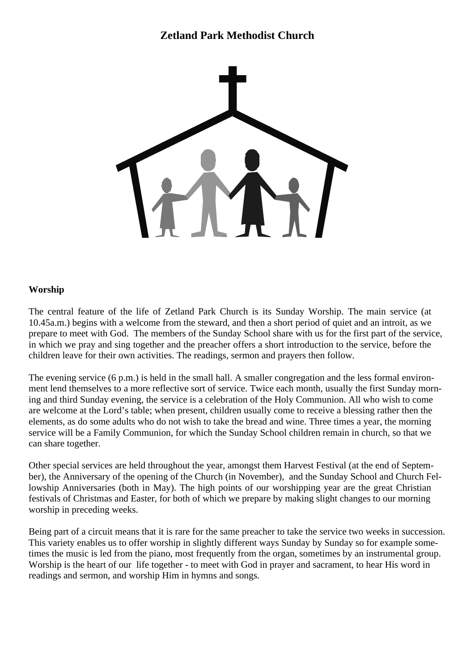# **Zetland Park Methodist Church**



#### **Worship**

The central feature of the life of Zetland Park Church is its Sunday Worship. The main service (at 10.45a.m.) begins with a welcome from the steward, and then a short period of quiet and an introit, as we prepare to meet with God. The members of the Sunday School share with us for the first part of the service, in which we pray and sing together and the preacher offers a short introduction to the service, before the children leave for their own activities. The readings, sermon and prayers then follow.

The evening service (6 p.m.) is held in the small hall. A smaller congregation and the less formal environment lend themselves to a more reflective sort of service. Twice each month, usually the first Sunday morning and third Sunday evening, the service is a celebration of the Holy Communion. All who wish to come are welcome at the Lord's table; when present, children usually come to receive a blessing rather then the elements, as do some adults who do not wish to take the bread and wine. Three times a year, the morning service will be a Family Communion, for which the Sunday School children remain in church, so that we can share together.

Other special services are held throughout the year, amongst them Harvest Festival (at the end of September), the Anniversary of the opening of the Church (in November), and the Sunday School and Church Fellowship Anniversaries (both in May). The high points of our worshipping year are the great Christian festivals of Christmas and Easter, for both of which we prepare by making slight changes to our morning worship in preceding weeks.

Being part of a circuit means that it is rare for the same preacher to take the service two weeks in succession. This variety enables us to offer worship in slightly different ways Sunday by Sunday so for example sometimes the music is led from the piano, most frequently from the organ, sometimes by an instrumental group. Worship is the heart of our life together - to meet with God in prayer and sacrament, to hear His word in readings and sermon, and worship Him in hymns and songs.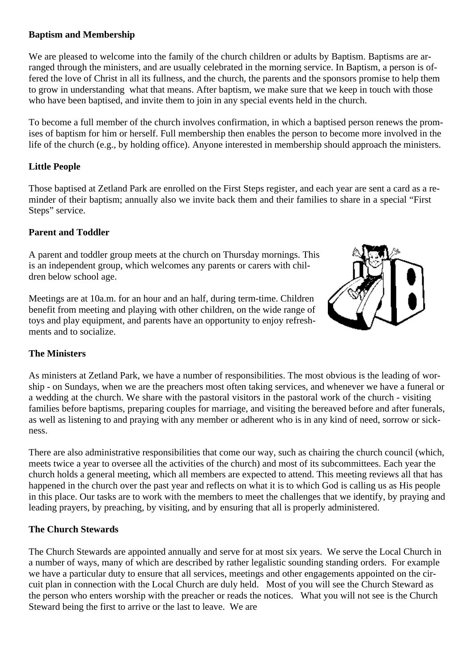#### **Baptism and Membership**

We are pleased to welcome into the family of the church children or adults by Baptism. Baptisms are arranged through the ministers, and are usually celebrated in the morning service. In Baptism, a person is offered the love of Christ in all its fullness, and the church, the parents and the sponsors promise to help them to grow in understanding what that means. After baptism, we make sure that we keep in touch with those who have been baptised, and invite them to join in any special events held in the church.

To become a full member of the church involves confirmation, in which a baptised person renews the promises of baptism for him or herself. Full membership then enables the person to become more involved in the life of the church (e.g., by holding office). Anyone interested in membership should approach the ministers.

#### **Little People**

Those baptised at Zetland Park are enrolled on the First Steps register, and each year are sent a card as a reminder of their baptism; annually also we invite back them and their families to share in a special "First Steps" service.

#### **Parent and Toddler**

A parent and toddler group meets at the church on Thursday mornings. This is an independent group, which welcomes any parents or carers with children below school age.

Meetings are at 10a.m. for an hour and an half, during term-time. Children benefit from meeting and playing with other children, on the wide range of toys and play equipment, and parents have an opportunity to enjoy refreshments and to socialize.



#### **The Ministers**

As ministers at Zetland Park, we have a number of responsibilities. The most obvious is the leading of worship - on Sundays, when we are the preachers most often taking services, and whenever we have a funeral or a wedding at the church. We share with the pastoral visitors in the pastoral work of the church - visiting families before baptisms, preparing couples for marriage, and visiting the bereaved before and after funerals, as well as listening to and praying with any member or adherent who is in any kind of need, sorrow or sickness.

There are also administrative responsibilities that come our way, such as chairing the church council (which, meets twice a year to oversee all the activities of the church) and most of its subcommittees. Each year the church holds a general meeting, which all members are expected to attend. This meeting reviews all that has happened in the church over the past year and reflects on what it is to which God is calling us as His people in this place. Our tasks are to work with the members to meet the challenges that we identify, by praying and leading prayers, by preaching, by visiting, and by ensuring that all is properly administered.

#### **The Church Stewards**

The Church Stewards are appointed annually and serve for at most six years. We serve the Local Church in a number of ways, many of which are described by rather legalistic sounding standing orders. For example we have a particular duty to ensure that all services, meetings and other engagements appointed on the circuit plan in connection with the Local Church are duly held. Most of you will see the Church Steward as the person who enters worship with the preacher or reads the notices. What you will not see is the Church Steward being the first to arrive or the last to leave. We are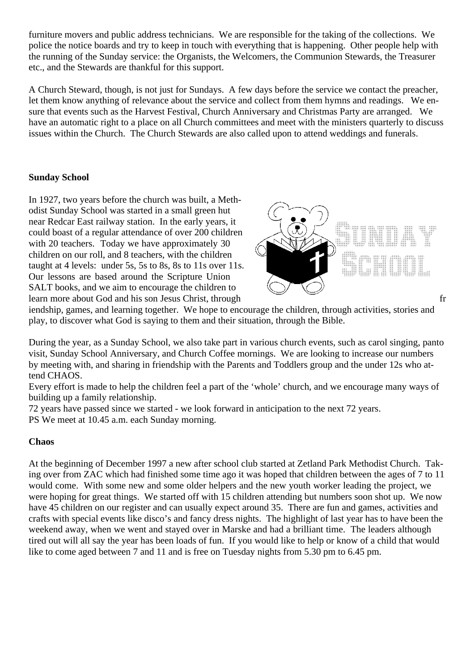furniture movers and public address technicians. We are responsible for the taking of the collections. We police the notice boards and try to keep in touch with everything that is happening. Other people help with the running of the Sunday service: the Organists, the Welcomers, the Communion Stewards, the Treasurer etc., and the Stewards are thankful for this support.

A Church Steward, though, is not just for Sundays. A few days before the service we contact the preacher, let them know anything of relevance about the service and collect from them hymns and readings. We ensure that events such as the Harvest Festival, Church Anniversary and Christmas Party are arranged. We have an automatic right to a place on all Church committees and meet with the ministers quarterly to discuss issues within the Church. The Church Stewards are also called upon to attend weddings and funerals.

### **Sunday School**

In 1927, two years before the church was built, a Methodist Sunday School was started in a small green hut near Redcar East railway station. In the early years, it could boast of a regular attendance of over 200 children with 20 teachers. Today we have approximately 30 children on our roll, and 8 teachers, with the children taught at 4 levels: under 5s, 5s to 8s, 8s to 11s over 11s. Our lessons are based around the Scripture Union SALT books, and we aim to encourage the children to learn more about God and his son Jesus Christ, through fr



iendship, games, and learning together. We hope to encourage the children, through activities, stories and play, to discover what God is saying to them and their situation, through the Bible.

During the year, as a Sunday School, we also take part in various church events, such as carol singing, panto visit, Sunday School Anniversary, and Church Coffee mornings. We are looking to increase our numbers by meeting with, and sharing in friendship with the Parents and Toddlers group and the under 12s who attend CHAOS.

Every effort is made to help the children feel a part of the 'whole' church, and we encourage many ways of building up a family relationship.

72 years have passed since we started - we look forward in anticipation to the next 72 years.

PS We meet at 10.45 a.m. each Sunday morning.

#### **Chaos**

At the beginning of December 1997 a new after school club started at Zetland Park Methodist Church. Taking over from ZAC which had finished some time ago it was hoped that children between the ages of 7 to 11 would come. With some new and some older helpers and the new youth worker leading the project, we were hoping for great things. We started off with 15 children attending but numbers soon shot up. We now have 45 children on our register and can usually expect around 35. There are fun and games, activities and crafts with special events like disco's and fancy dress nights. The highlight of last year has to have been the weekend away, when we went and stayed over in Marske and had a brilliant time. The leaders although tired out will all say the year has been loads of fun. If you would like to help or know of a child that would like to come aged between 7 and 11 and is free on Tuesday nights from 5.30 pm to 6.45 pm.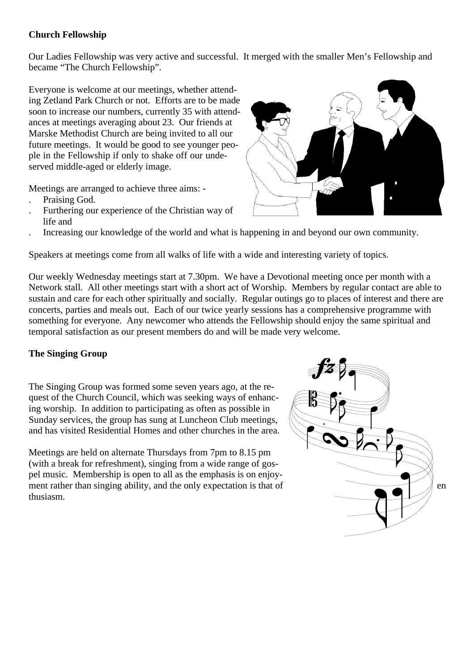#### **Church Fellowship**

Our Ladies Fellowship was very active and successful. It merged with the smaller Men's Fellowship and became "The Church Fellowship".

Everyone is welcome at our meetings, whether attending Zetland Park Church or not. Efforts are to be made soon to increase our numbers, currently 35 with attendances at meetings averaging about 23. Our friends at Marske Methodist Church are being invited to all our future meetings. It would be good to see younger people in the Fellowship if only to shake off our undeserved middle-aged or elderly image.

Meetings are arranged to achieve three aims: -

- . Praising God.
- . Furthering our experience of the Christian way of life and
- . Increasing our knowledge of the world and what is happening in and beyond our own community.

Speakers at meetings come from all walks of life with a wide and interesting variety of topics.

Our weekly Wednesday meetings start at 7.30pm. We have a Devotional meeting once per month with a Network stall. All other meetings start with a short act of Worship. Members by regular contact are able to sustain and care for each other spiritually and socially. Regular outings go to places of interest and there are concerts, parties and meals out. Each of our twice yearly sessions has a comprehensive programme with something for everyone. Any newcomer who attends the Fellowship should enjoy the same spiritual and temporal satisfaction as our present members do and will be made very welcome.

#### **The Singing Group**

The Singing Group was formed some seven years ago, at the request of the Church Council, which was seeking ways of enhancing worship. In addition to participating as often as possible in Sunday services, the group has sung at Luncheon Club meetings, and has visited Residential Homes and other churches in the area.

Meetings are held on alternate Thursdays from 7pm to 8.15 pm (with a break for refreshment), singing from a wide range of gospel music. Membership is open to all as the emphasis is on enjoyment rather than singing ability, and the only expectation is that of  $\qquad$  en thusiasm.



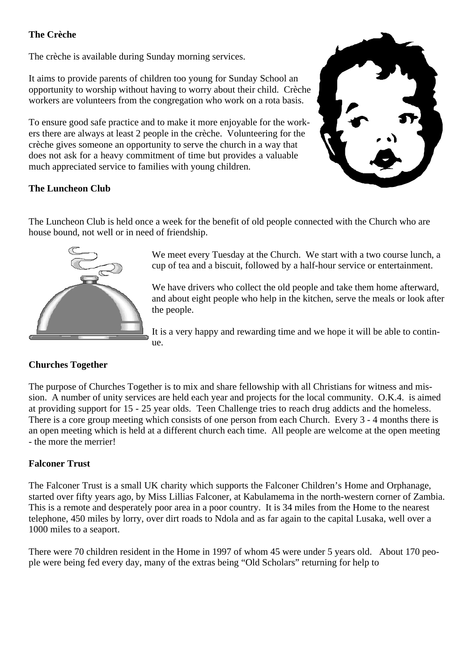### **The Crèche**

The crèche is available during Sunday morning services.

It aims to provide parents of children too young for Sunday School an opportunity to worship without having to worry about their child. Crèche workers are volunteers from the congregation who work on a rota basis.

To ensure good safe practice and to make it more enjoyable for the workers there are always at least 2 people in the crèche. Volunteering for the crèche gives someone an opportunity to serve the church in a way that does not ask for a heavy commitment of time but provides a valuable much appreciated service to families with young children.



### **The Luncheon Club**

The Luncheon Club is held once a week for the benefit of old people connected with the Church who are house bound, not well or in need of friendship.



We meet every Tuesday at the Church. We start with a two course lunch, a cup of tea and a biscuit, followed by a half-hour service or entertainment.

We have drivers who collect the old people and take them home afterward, and about eight people who help in the kitchen, serve the meals or look after the people.

It is a very happy and rewarding time and we hope it will be able to continue.

# **Churches Together**

The purpose of Churches Together is to mix and share fellowship with all Christians for witness and mission. A number of unity services are held each year and projects for the local community. O.K.4. is aimed at providing support for 15 - 25 year olds. Teen Challenge tries to reach drug addicts and the homeless. There is a core group meeting which consists of one person from each Church. Every 3 - 4 months there is an open meeting which is held at a different church each time. All people are welcome at the open meeting - the more the merrier!

# **Falconer Trust**

The Falconer Trust is a small UK charity which supports the Falconer Children's Home and Orphanage, started over fifty years ago, by Miss Lillias Falconer, at Kabulamema in the north-western corner of Zambia. This is a remote and desperately poor area in a poor country. It is 34 miles from the Home to the nearest telephone, 450 miles by lorry, over dirt roads to Ndola and as far again to the capital Lusaka, well over a 1000 miles to a seaport.

There were 70 children resident in the Home in 1997 of whom 45 were under 5 years old. About 170 people were being fed every day, many of the extras being "Old Scholars" returning for help to